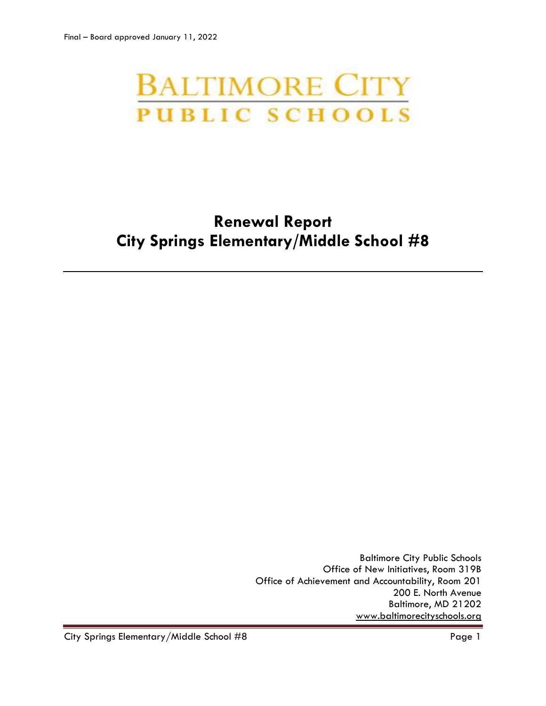# **BALTIMORE CITY PUBLIC SCHOOLS**

# **Renewal Report City Springs Elementary/Middle School #8**

Baltimore City Public Schools Office of New Initiatives, Room 319B Office of Achievement and Accountability, Room 201 200 E. North Avenue Baltimore, MD 21202 [www.baltimorecityschools.org](http://www.baltimorecityschools.org/)

City Springs Elementary/Middle School #8 extends the control of the Page 1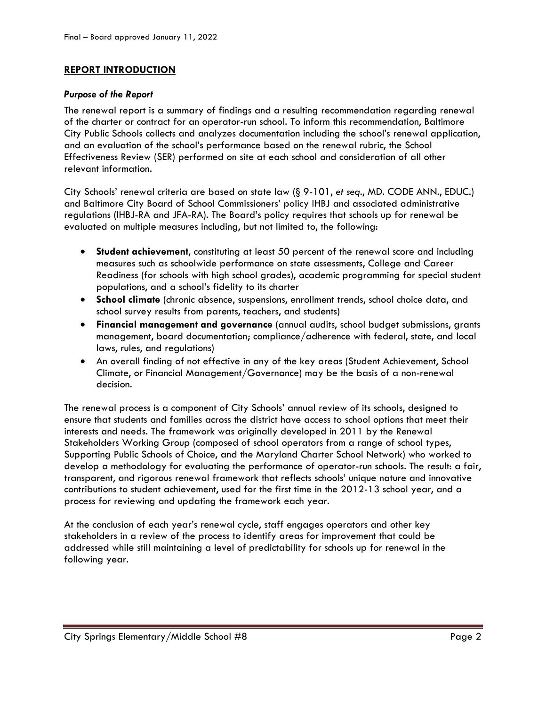# **REPORT INTRODUCTION**

#### *Purpose of the Report*

The renewal report is a summary of findings and a resulting recommendation regarding renewal of the charter or contract for an operator-run school. To inform this recommendation, Baltimore City Public Schools collects and analyzes documentation including the school's renewal application, and an evaluation of the school's performance based on the renewal rubric, the School Effectiveness Review (SER) performed on site at each school and consideration of all other relevant information.

City Schools' renewal criteria are based on state law (§ 9-101, *et seq*., MD. CODE ANN., EDUC.) and Baltimore City Board of School Commissioners' policy IHBJ and associated administrative regulations (IHBJ-RA and JFA-RA). The Board's policy requires that schools up for renewal be evaluated on multiple measures including, but not limited to, the following:

- **Student achievement**, constituting at least 50 percent of the renewal score and including measures such as schoolwide performance on state assessments, College and Career Readiness (for schools with high school grades), academic programming for special student populations, and a school's fidelity to its charter
- **School climate** (chronic absence, suspensions, enrollment trends, school choice data, and school survey results from parents, teachers, and students)
- **Financial management and governance** (annual audits, school budget submissions, grants management, board documentation; compliance/adherence with federal, state, and local laws, rules, and regulations)
- An overall finding of not effective in any of the key areas (Student Achievement, School Climate, or Financial Management/Governance) may be the basis of a non-renewal decision.

The renewal process is a component of City Schools' annual review of its schools, designed to ensure that students and families across the district have access to school options that meet their interests and needs. The framework was originally developed in 2011 by the Renewal Stakeholders Working Group (composed of school operators from a range of school types, Supporting Public Schools of Choice, and the Maryland Charter School Network) who worked to develop a methodology for evaluating the performance of operator-run schools. The result: a fair, transparent, and rigorous renewal framework that reflects schools' unique nature and innovative contributions to student achievement, used for the first time in the 2012-13 school year, and a process for reviewing and updating the framework each year.

At the conclusion of each year's renewal cycle, staff engages operators and other key stakeholders in a review of the process to identify areas for improvement that could be addressed while still maintaining a level of predictability for schools up for renewal in the following year.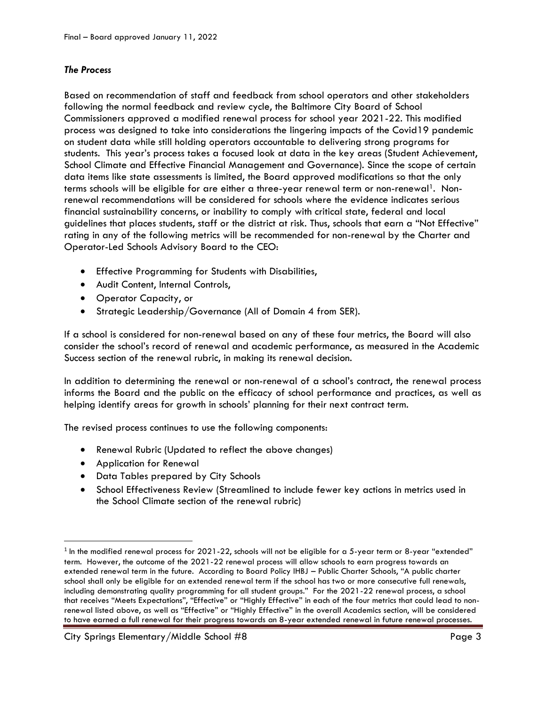# *The Process*

Based on recommendation of staff and feedback from school operators and other stakeholders following the normal feedback and review cycle, the Baltimore City Board of School Commissioners approved a modified renewal process for school year 2021-22. This modified process was designed to take into considerations the lingering impacts of the Covid19 pandemic on student data while still holding operators accountable to delivering strong programs for students. This year's process takes a focused look at data in the key areas (Student Achievement, School Climate and Effective Financial Management and Governance). Since the scope of certain data items like state assessments is limited, the Board approved modifications so that the only terms schools will be eligible for are either a three-year renewal term or non-renewal<sup>1</sup>. Nonrenewal recommendations will be considered for schools where the evidence indicates serious financial sustainability concerns, or inability to comply with critical state, federal and local guidelines that places students, staff or the district at risk. Thus, schools that earn a "Not Effective" rating in any of the following metrics will be recommended for non-renewal by the Charter and Operator-Led Schools Advisory Board to the CEO:

- Effective Programming for Students with Disabilities,
- Audit Content, Internal Controls,
- Operator Capacity, or
- Strategic Leadership/Governance (All of Domain 4 from SER).

If a school is considered for non-renewal based on any of these four metrics, the Board will also consider the school's record of renewal and academic performance, as measured in the Academic Success section of the renewal rubric, in making its renewal decision.

In addition to determining the renewal or non-renewal of a school's contract, the renewal process informs the Board and the public on the efficacy of school performance and practices, as well as helping identify areas for growth in schools' planning for their next contract term.

The revised process continues to use the following components:

- Renewal Rubric (Updated to reflect the above changes)
- Application for Renewal

l

- Data Tables prepared by City Schools
- School Effectiveness Review (Streamlined to include fewer key actions in metrics used in the School Climate section of the renewal rubric)

 $^{\rm 1}$  In the modified renewal process for 2021-22, schools will not be eligible for a 5-year term or 8-year "extended" term. However, the outcome of the 2021-22 renewal process will allow schools to earn progress towards an extended renewal term in the future. According to Board Policy IHBJ – Public Charter Schools, "A public charter school shall only be eligible for an extended renewal term if the school has two or more consecutive full renewals, including demonstrating quality programming for all student groups." For the 2021-22 renewal process, a school that receives "Meets Expectations", "Effective" or "Highly Effective" in each of the four metrics that could lead to nonrenewal listed above, as well as "Effective" or "Highly Effective" in the overall Academics section, will be considered to have earned a full renewal for their progress towards an 8-year extended renewal in future renewal processes.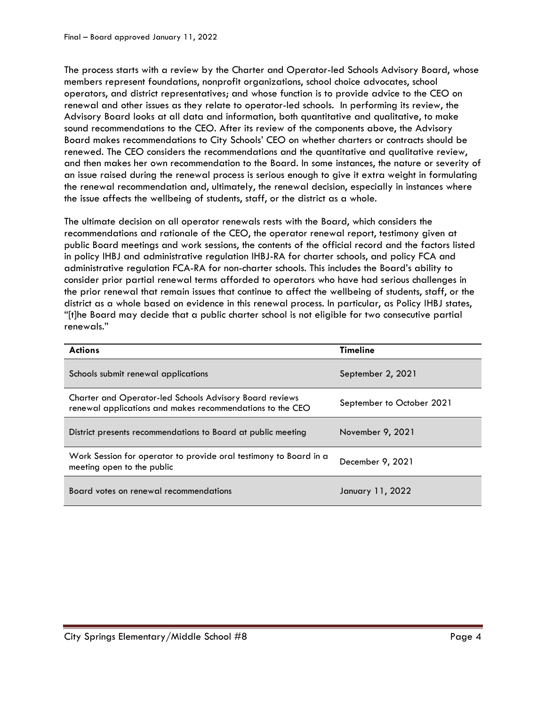The process starts with a review by the Charter and Operator-led Schools Advisory Board, whose members represent foundations, nonprofit organizations, school choice advocates, school operators, and district representatives; and whose function is to provide advice to the CEO on renewal and other issues as they relate to operator-led schools. In performing its review, the Advisory Board looks at all data and information, both quantitative and qualitative, to make sound recommendations to the CEO. After its review of the components above, the Advisory Board makes recommendations to City Schools' CEO on whether charters or contracts should be renewed. The CEO considers the recommendations and the quantitative and qualitative review, and then makes her own recommendation to the Board. In some instances, the nature or severity of an issue raised during the renewal process is serious enough to give it extra weight in formulating the renewal recommendation and, ultimately, the renewal decision, especially in instances where the issue affects the wellbeing of students, staff, or the district as a whole.

The ultimate decision on all operator renewals rests with the Board, which considers the recommendations and rationale of the CEO, the operator renewal report, testimony given at public Board meetings and work sessions, the contents of the official record and the factors listed in policy IHBJ and administrative regulation IHBJ-RA for charter schools, and policy FCA and administrative regulation FCA-RA for non-charter schools. This includes the Board's ability to consider prior partial renewal terms afforded to operators who have had serious challenges in the prior renewal that remain issues that continue to affect the wellbeing of students, staff, or the district as a whole based on evidence in this renewal process. In particular, as Policy IHBJ states, "[t]he Board may decide that a public charter school is not eligible for two consecutive partial renewals."

| <b>Actions</b>                                                                                                              | <b>Timeline</b>           |
|-----------------------------------------------------------------------------------------------------------------------------|---------------------------|
| Schools submit renewal applications                                                                                         | September 2, 2021         |
| <b>Charter and Operator-led Schools Advisory Board reviews</b><br>renewal applications and makes recommendations to the CEO | September to October 2021 |
| District presents recommendations to Board at public meeting                                                                | November 9, 2021          |
| Work Session for operator to provide oral testimony to Board in a<br>meeting open to the public                             | December 9, 2021          |
| Board votes on renewal recommendations                                                                                      | January 11, 2022          |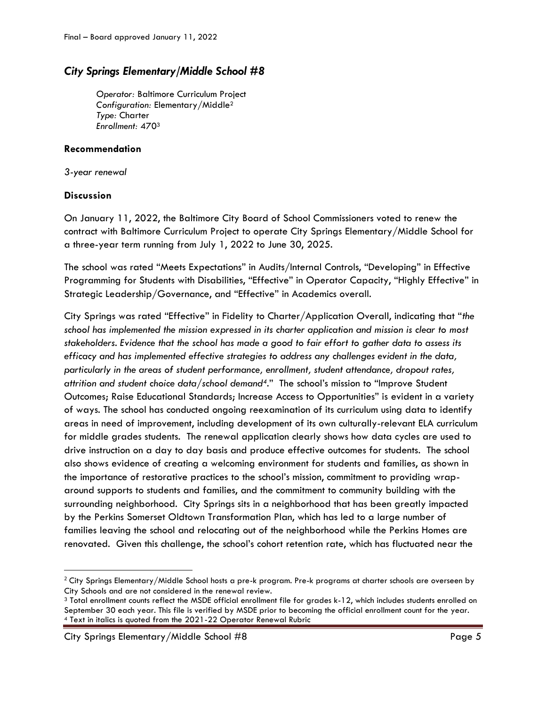# *City Springs Elementary/Middle School #8*

*Operator:* Baltimore Curriculum Project *Configuration:* Elementary/Middle<sup>2</sup> *Type:* Charter *Enrollment:* 470<sup>3</sup>

### **Recommendation**

*3-year renewal*

# **Discussion**

l

On January 11, 2022, the Baltimore City Board of School Commissioners voted to renew the contract with Baltimore Curriculum Project to operate City Springs Elementary/Middle School for a three-year term running from July 1, 2022 to June 30, 2025.

The school was rated "Meets Expectations" in Audits/Internal Controls, "Developing" in Effective Programming for Students with Disabilities, "Effective" in Operator Capacity, "Highly Effective" in Strategic Leadership/Governance, and "Effective" in Academics overall.

City Springs was rated "Effective" in Fidelity to Charter/Application Overall, indicating that "*the school has implemented the mission expressed in its charter application and mission is clear to most stakeholders. Evidence that the school has made a good to fair effort to gather data to assess its efficacy and has implemented effective strategies to address any challenges evident in the data, particularly in the areas of student performance, enrollment, student attendance, dropout rates, attrition and student choice data/school demand4*." The school's mission to "Improve Student Outcomes; Raise Educational Standards; Increase Access to Opportunities" is evident in a variety of ways. The school has conducted ongoing reexamination of its curriculum using data to identify areas in need of improvement, including development of its own culturally-relevant ELA curriculum for middle grades students. The renewal application clearly shows how data cycles are used to drive instruction on a day to day basis and produce effective outcomes for students. The school also shows evidence of creating a welcoming environment for students and families, as shown in the importance of restorative practices to the school's mission, commitment to providing wraparound supports to students and families, and the commitment to community building with the surrounding neighborhood. City Springs sits in a neighborhood that has been greatly impacted by the Perkins Somerset Oldtown Transformation Plan, which has led to a large number of families leaving the school and relocating out of the neighborhood while the Perkins Homes are renovated. Given this challenge, the school's cohort retention rate, which has fluctuated near the

City Springs Elementary/Middle School #8 Page 5

 $2$  City Springs Elementary/Middle School hosts a pre-k program. Pre-k programs at charter schools are overseen by City Schools and are not considered in the renewal review.

<sup>3</sup> Total enrollment counts reflect the MSDE official enrollment file for grades k-12, which includes students enrolled on September 30 each year. This file is verified by MSDE prior to becoming the official enrollment count for the year. <sup>4</sup> Text in italics is quoted from the 2021-22 Operator Renewal Rubric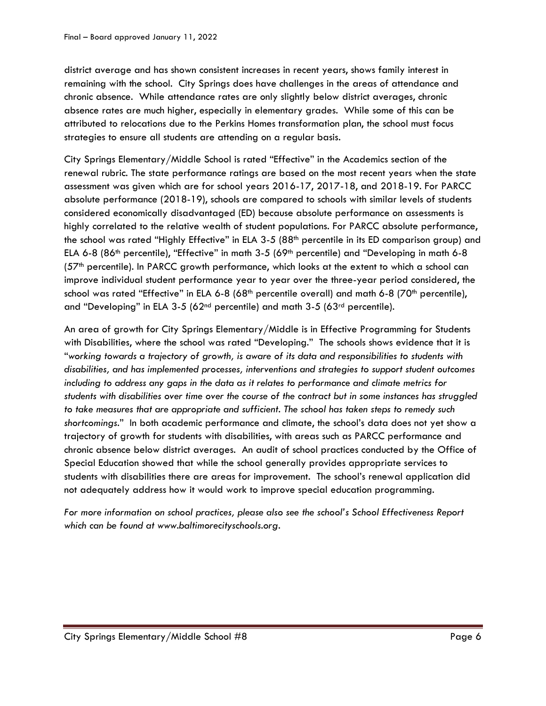district average and has shown consistent increases in recent years, shows family interest in remaining with the school. City Springs does have challenges in the areas of attendance and chronic absence. While attendance rates are only slightly below district averages, chronic absence rates are much higher, especially in elementary grades. While some of this can be attributed to relocations due to the Perkins Homes transformation plan, the school must focus strategies to ensure all students are attending on a regular basis.

City Springs Elementary/Middle School is rated "Effective" in the Academics section of the renewal rubric. The state performance ratings are based on the most recent years when the state assessment was given which are for school years 2016-17, 2017-18, and 2018-19. For PARCC absolute performance (2018-19), schools are compared to schools with similar levels of students considered economically disadvantaged (ED) because absolute performance on assessments is highly correlated to the relative wealth of student populations. For PARCC absolute performance, the school was rated "Highly Effective" in ELA 3-5 (88<sup>th</sup> percentile in its ED comparison group) and ELA 6-8 (86<sup>th</sup> percentile), "Effective" in math 3-5 (69<sup>th</sup> percentile) and "Developing in math 6-8 (57th percentile). In PARCC growth performance, which looks at the extent to which a school can improve individual student performance year to year over the three-year period considered, the school was rated "Effective" in ELA 6-8 (68<sup>th</sup> percentile overall) and math 6-8 (70<sup>th</sup> percentile), and "Developing" in ELA 3-5 (62<sup>nd</sup> percentile) and math 3-5 (63<sup>rd</sup> percentile).

An area of growth for City Springs Elementary/Middle is in Effective Programming for Students with Disabilities, where the school was rated "Developing." The schools shows evidence that it is "*working towards a trajectory of growth, is aware of its data and responsibilities to students with disabilities, and has implemented processes, interventions and strategies to support student outcomes including to address any gaps in the data as it relates to performance and climate metrics for students with disabilities over time over the course of the contract but in some instances has struggled to take measures that are appropriate and sufficient. The school has taken steps to remedy such shortcomings*." In both academic performance and climate, the school's data does not yet show a trajectory of growth for students with disabilities, with areas such as PARCC performance and chronic absence below district averages. An audit of school practices conducted by the Office of Special Education showed that while the school generally provides appropriate services to students with disabilities there are areas for improvement. The school's renewal application did not adequately address how it would work to improve special education programming.

*For more information on school practices, please also see the school's School Effectiveness Report which can be found at www.baltimorecityschools.org.*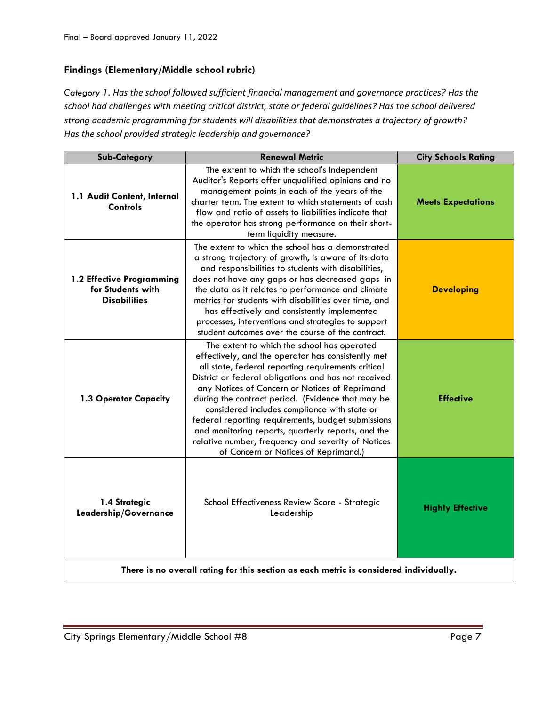# **Findings (Elementary/Middle school rubric)**

*Category 1. Has the school followed sufficient financial management and governance practices? Has the school had challenges with meeting critical district, state or federal guidelines? Has the school delivered strong academic programming for students will disabilities that demonstrates a trajectory of growth? Has the school provided strategic leadership and governance?*

| <b>Sub-Category</b>                                                                    | <b>Renewal Metric</b>                                                                                                                                                                                                                                                                                                                                                                                                                                                                                                                                                            | <b>City Schools Rating</b> |  |
|----------------------------------------------------------------------------------------|----------------------------------------------------------------------------------------------------------------------------------------------------------------------------------------------------------------------------------------------------------------------------------------------------------------------------------------------------------------------------------------------------------------------------------------------------------------------------------------------------------------------------------------------------------------------------------|----------------------------|--|
| 1.1 Audit Content, Internal<br>Controls                                                | The extent to which the school's Independent<br>Auditor's Reports offer unqualified opinions and no<br>management points in each of the years of the<br>charter term. The extent to which statements of cash<br>flow and ratio of assets to liabilities indicate that<br>the operator has strong performance on their short-<br>term liquidity measure.                                                                                                                                                                                                                          | <b>Meets Expectations</b>  |  |
| 1.2 Effective Programming<br>for Students with<br><b>Disabilities</b>                  | The extent to which the school has a demonstrated<br>a strong trajectory of growth, is aware of its data<br>and responsibilities to students with disabilities,<br>does not have any gaps or has decreased gaps in<br>the data as it relates to performance and climate<br>metrics for students with disabilities over time, and<br>has effectively and consistently implemented<br>processes, interventions and strategies to support<br>student outcomes over the course of the contract.                                                                                      | <b>Developing</b>          |  |
| 1.3 Operator Capacity                                                                  | The extent to which the school has operated<br>effectively, and the operator has consistently met<br>all state, federal reporting requirements critical<br>District or federal obligations and has not received<br>any Notices of Concern or Notices of Reprimand<br>during the contract period. (Evidence that may be<br>considered includes compliance with state or<br>federal reporting requirements, budget submissions<br>and monitoring reports, quarterly reports, and the<br>relative number, frequency and severity of Notices<br>of Concern or Notices of Reprimand.) | <b>Effective</b>           |  |
| 1.4 Strategic<br>Leadership/Governance                                                 | School Effectiveness Review Score - Strategic<br>Leadership                                                                                                                                                                                                                                                                                                                                                                                                                                                                                                                      | <b>Highly Effective</b>    |  |
| There is no overall rating for this section as each metric is considered individually. |                                                                                                                                                                                                                                                                                                                                                                                                                                                                                                                                                                                  |                            |  |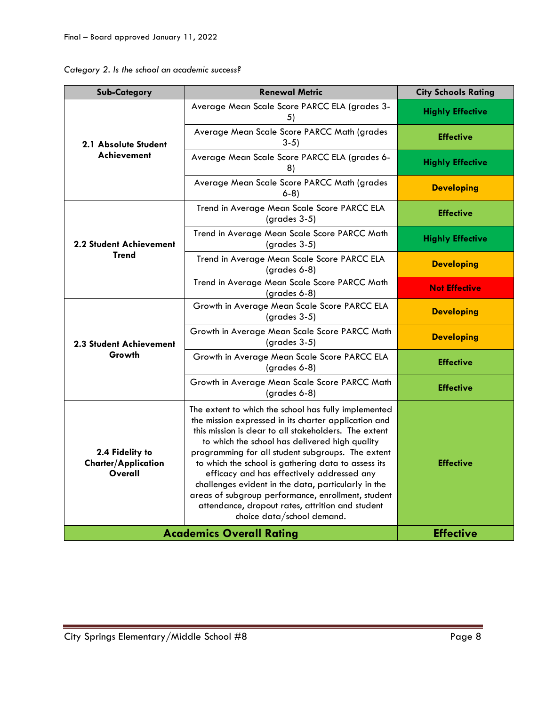| Category 2. Is the school an academic success? |  |  |  |  |  |  |
|------------------------------------------------|--|--|--|--|--|--|
|------------------------------------------------|--|--|--|--|--|--|

| Sub-Category                                             | <b>Renewal Metric</b>                                                                                                                                                                                                                                                                                                                                                                                                                                                                                                                                                            | <b>City Schools Rating</b> |
|----------------------------------------------------------|----------------------------------------------------------------------------------------------------------------------------------------------------------------------------------------------------------------------------------------------------------------------------------------------------------------------------------------------------------------------------------------------------------------------------------------------------------------------------------------------------------------------------------------------------------------------------------|----------------------------|
| 2.1 Absolute Student<br>Achievement                      | Average Mean Scale Score PARCC ELA (grades 3-<br>5)                                                                                                                                                                                                                                                                                                                                                                                                                                                                                                                              | <b>Highly Effective</b>    |
|                                                          | Average Mean Scale Score PARCC Math (grades<br>$3-5$                                                                                                                                                                                                                                                                                                                                                                                                                                                                                                                             | <b>Effective</b>           |
|                                                          | Average Mean Scale Score PARCC ELA (grades 6-<br>8)                                                                                                                                                                                                                                                                                                                                                                                                                                                                                                                              | <b>Highly Effective</b>    |
|                                                          | Average Mean Scale Score PARCC Math (grades<br>$6-8$                                                                                                                                                                                                                                                                                                                                                                                                                                                                                                                             | <b>Developing</b>          |
|                                                          | Trend in Average Mean Scale Score PARCC ELA<br>$(grades 3-5)$                                                                                                                                                                                                                                                                                                                                                                                                                                                                                                                    | <b>Effective</b>           |
| <b>2.2 Student Achievement</b>                           | Trend in Average Mean Scale Score PARCC Math<br>$(grades 3-5)$                                                                                                                                                                                                                                                                                                                                                                                                                                                                                                                   | <b>Highly Effective</b>    |
| <b>Trend</b>                                             | Trend in Average Mean Scale Score PARCC ELA<br>(grades 6-8)                                                                                                                                                                                                                                                                                                                                                                                                                                                                                                                      | <b>Developing</b>          |
|                                                          | Trend in Average Mean Scale Score PARCC Math<br>(grades 6-8)                                                                                                                                                                                                                                                                                                                                                                                                                                                                                                                     | <b>Not Effective</b>       |
|                                                          | Growth in Average Mean Scale Score PARCC ELA<br>$(grades 3-5)$                                                                                                                                                                                                                                                                                                                                                                                                                                                                                                                   | <b>Developing</b>          |
| <b>2.3 Student Achievement</b>                           | Growth in Average Mean Scale Score PARCC Math<br>$(grades 3-5)$                                                                                                                                                                                                                                                                                                                                                                                                                                                                                                                  | <b>Developing</b>          |
| Growth                                                   | Growth in Average Mean Scale Score PARCC ELA<br>$(grades 6-8)$                                                                                                                                                                                                                                                                                                                                                                                                                                                                                                                   | <b>Effective</b>           |
|                                                          | Growth in Average Mean Scale Score PARCC Math<br>(grades 6-8)                                                                                                                                                                                                                                                                                                                                                                                                                                                                                                                    | <b>Effective</b>           |
| 2.4 Fidelity to<br><b>Charter/Application</b><br>Overall | The extent to which the school has fully implemented<br>the mission expressed in its charter application and<br>this mission is clear to all stakeholders. The extent<br>to which the school has delivered high quality<br>programming for all student subgroups. The extent<br>to which the school is gathering data to assess its<br>efficacy and has effectively addressed any<br>challenges evident in the data, particularly in the<br>areas of subgroup performance, enrollment, student<br>attendance, dropout rates, attrition and student<br>choice data/school demand. | <b>Effective</b>           |
| <b>Academics Overall Rating</b>                          | <b>Effective</b>                                                                                                                                                                                                                                                                                                                                                                                                                                                                                                                                                                 |                            |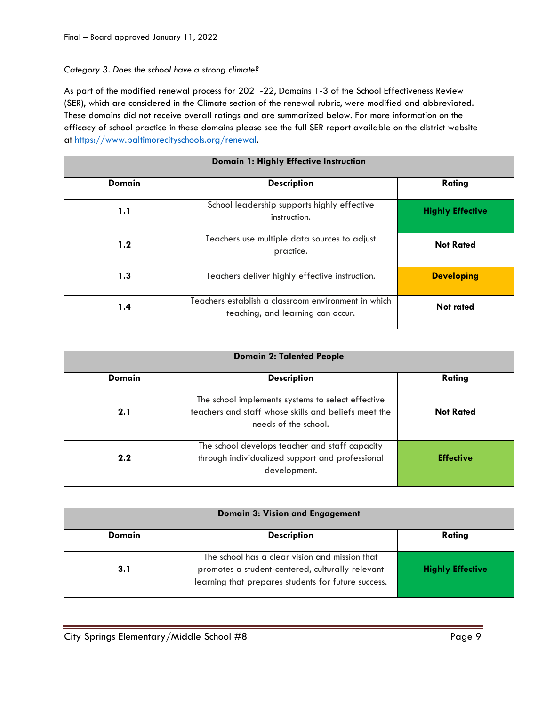### *Category 3. Does the school have a strong climate?*

As part of the modified renewal process for 2021-22, Domains 1-3 of the School Effectiveness Review (SER), which are considered in the Climate section of the renewal rubric, were modified and abbreviated. These domains did not receive overall ratings and are summarized below. For more information on the efficacy of school practice in these domains please see the full SER report available on the district website at [https://www.baltimorecityschools.org/renewal.](https://www.baltimorecityschools.org/renewal)

| Domain 1: Highly Effective Instruction |                                                                                          |                         |  |
|----------------------------------------|------------------------------------------------------------------------------------------|-------------------------|--|
| <b>Domain</b>                          | <b>Description</b>                                                                       | Rating                  |  |
| 1.1                                    | School leadership supports highly effective<br>instruction.                              | <b>Highly Effective</b> |  |
| 1.2                                    | Teachers use multiple data sources to adjust<br>practice.                                | <b>Not Rated</b>        |  |
| 1.3                                    | Teachers deliver highly effective instruction.                                           | <b>Developing</b>       |  |
| 1.4                                    | Teachers establish a classroom environment in which<br>teaching, and learning can occur. | <b>Not rated</b>        |  |

| <b>Domain 2: Talented People</b> |                                                                                                                                   |                  |  |
|----------------------------------|-----------------------------------------------------------------------------------------------------------------------------------|------------------|--|
| Domain                           | <b>Description</b>                                                                                                                | Rating           |  |
| 2.1                              | The school implements systems to select effective<br>teachers and staff whose skills and beliefs meet the<br>needs of the school. | <b>Not Rated</b> |  |
| 2.2                              | The school develops teacher and staff capacity<br>through individualized support and professional<br>development.                 | <b>Effective</b> |  |

| <b>Domain 3: Vision and Engagement</b> |                                                                                                                                                           |                         |  |
|----------------------------------------|-----------------------------------------------------------------------------------------------------------------------------------------------------------|-------------------------|--|
| Domain                                 | <b>Description</b>                                                                                                                                        | Rating                  |  |
| 3.1                                    | The school has a clear vision and mission that<br>promotes a student-centered, culturally relevant<br>learning that prepares students for future success. | <b>Highly Effective</b> |  |